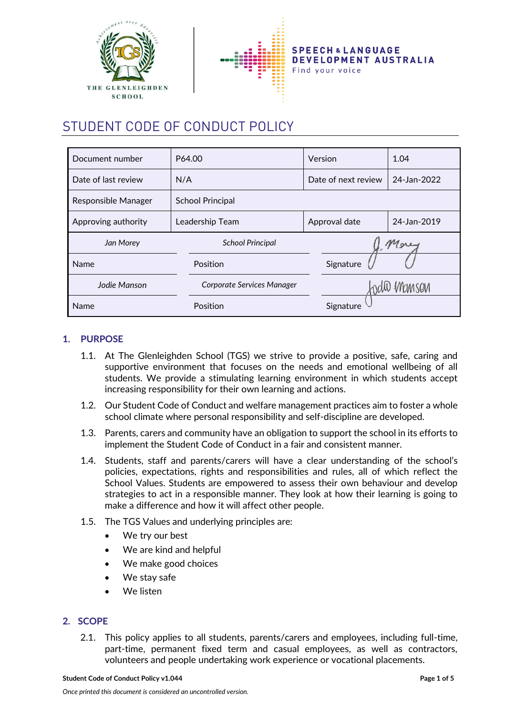



# STUDENT CODE OF CONDUCT POLICY

| Document number     | P64.00                     | Version             | 1.04        |
|---------------------|----------------------------|---------------------|-------------|
| Date of last review | N/A                        | Date of next review | 24-Jan-2022 |
| Responsible Manager | <b>School Principal</b>    |                     |             |
| Approving authority | Leadership Team            | Approval date       | 24-Jan-2019 |
| Jan Morey           | <b>School Principal</b>    |                     | Morey       |
| Name                | Position                   | Signature           |             |
| Jodie Manson        | Corporate Services Manager |                     | ndil Manson |
| Name                | Position                   | Signature           |             |

# **1. PURPOSE**

- 1.1. At The Glenleighden School (TGS) we strive to provide a positive, safe, caring and supportive environment that focuses on the needs and emotional wellbeing of all students. We provide a stimulating learning environment in which students accept increasing responsibility for their own learning and actions.
- 1.2. Our Student Code of Conduct and welfare management practices aim to foster a whole school climate where personal responsibility and self-discipline are developed.
- 1.3. Parents, carers and community have an obligation to support the school in its efforts to implement the Student Code of Conduct in a fair and consistent manner.
- 1.4. Students, staff and parents/carers will have a clear understanding of the school's policies, expectations, rights and responsibilities and rules, all of which reflect the School Values. Students are empowered to assess their own behaviour and develop strategies to act in a responsible manner. They look at how their learning is going to make a difference and how it will affect other people.
- 1.5. The TGS Values and underlying principles are:
	- We try our best
	- We are kind and helpful
	- We make good choices
	- We stav safe
	- We listen

# **2. SCOPE**

2.1. This policy applies to all students, parents/carers and employees, including full-time, part-time, permanent fixed term and casual employees, as well as contractors, volunteers and people undertaking work experience or vocational placements.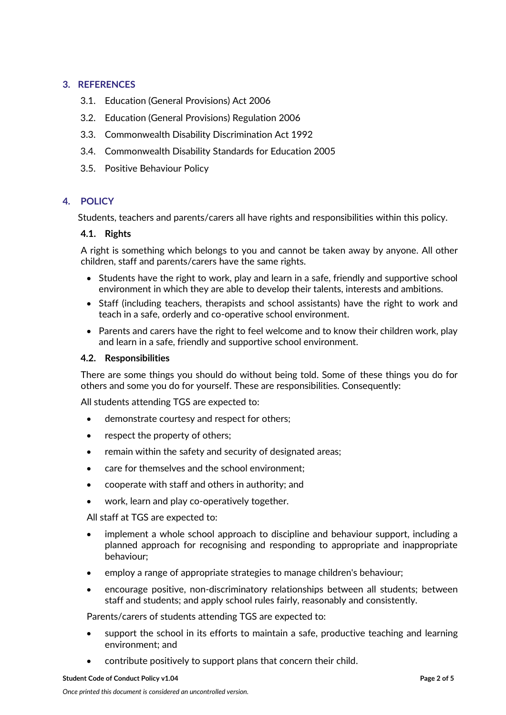# **3. REFERENCES**

- 3.1. Education (General Provisions) Act 2006
- 3.2. Education (General Provisions) Regulation 2006
- 3.3. Commonwealth Disability Discrimination Act 1992
- 3.4. Commonwealth Disability Standards for Education 2005
- 3.5. Positive Behaviour Policy

## **4. POLICY**

Students, teachers and parents/carers all have rights and responsibilities within this policy.

## **4.1. Rights**

A right is something which belongs to you and cannot be taken away by anyone. All other children, staff and parents/carers have the same rights.

- Students have the right to work, play and learn in a safe, friendly and supportive school environment in which they are able to develop their talents, interests and ambitions.
- Staff (including teachers, therapists and school assistants) have the right to work and teach in a safe, orderly and co-operative school environment.
- Parents and carers have the right to feel welcome and to know their children work, play and learn in a safe, friendly and supportive school environment.

#### **4.2. Responsibilities**

There are some things you should do without being told. Some of these things you do for others and some you do for yourself. These are responsibilities. Consequently:

All students attending TGS are expected to:

- demonstrate courtesy and respect for others;
- respect the property of others;
- remain within the safety and security of designated areas;
- care for themselves and the school environment;
- cooperate with staff and others in authority; and
- work, learn and play co-operatively together.

All staff at TGS are expected to:

- implement a whole school approach to discipline and behaviour support, including a planned approach for recognising and responding to appropriate and inappropriate behaviour;
- employ a range of appropriate strategies to manage children's behaviour;
- encourage positive, non-discriminatory relationships between all students; between staff and students; and apply school rules fairly, reasonably and consistently.

Parents/carers of students attending TGS are expected to:

- support the school in its efforts to maintain a safe, productive teaching and learning environment; and
- contribute positively to support plans that concern their child.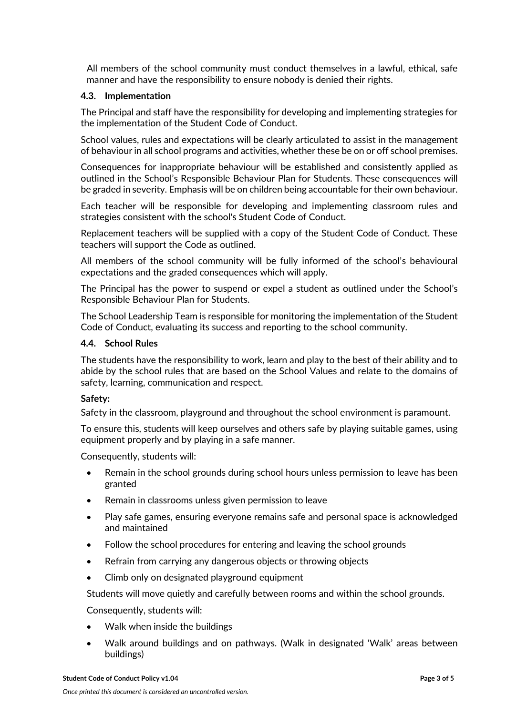All members of the school community must conduct themselves in a lawful, ethical, safe manner and have the responsibility to ensure nobody is denied their rights.

#### **4.3. Implementation**

The Principal and staff have the responsibility for developing and implementing strategies for the implementation of the Student Code of Conduct.

School values, rules and expectations will be clearly articulated to assist in the management of behaviour in all school programs and activities, whether these be on or off school premises.

Consequences for inappropriate behaviour will be established and consistently applied as outlined in the School's Responsible Behaviour Plan for Students. These consequences will be graded in severity. Emphasis will be on children being accountable for their own behaviour.

Each teacher will be responsible for developing and implementing classroom rules and strategies consistent with the school's Student Code of Conduct.

Replacement teachers will be supplied with a copy of the Student Code of Conduct. These teachers will support the Code as outlined.

All members of the school community will be fully informed of the school's behavioural expectations and the graded consequences which will apply.

The Principal has the power to suspend or expel a student as outlined under the School's Responsible Behaviour Plan for Students.

The School Leadership Team is responsible for monitoring the implementation of the Student Code of Conduct, evaluating its success and reporting to the school community.

#### **4.4. School Rules**

The students have the responsibility to work, learn and play to the best of their ability and to abide by the school rules that are based on the School Values and relate to the domains of safety, learning, communication and respect.

## **Safety:**

Safety in the classroom, playground and throughout the school environment is paramount.

To ensure this, students will keep ourselves and others safe by playing suitable games, using equipment properly and by playing in a safe manner.

Consequently, students will:

- Remain in the school grounds during school hours unless permission to leave has been granted
- Remain in classrooms unless given permission to leave
- Play safe games, ensuring everyone remains safe and personal space is acknowledged and maintained
- Follow the school procedures for entering and leaving the school grounds
- Refrain from carrying any dangerous objects or throwing objects
- Climb only on designated playground equipment

Students will move quietly and carefully between rooms and within the school grounds.

Consequently, students will:

- Walk when inside the buildings
- Walk around buildings and on pathways. (Walk in designated 'Walk' areas between buildings)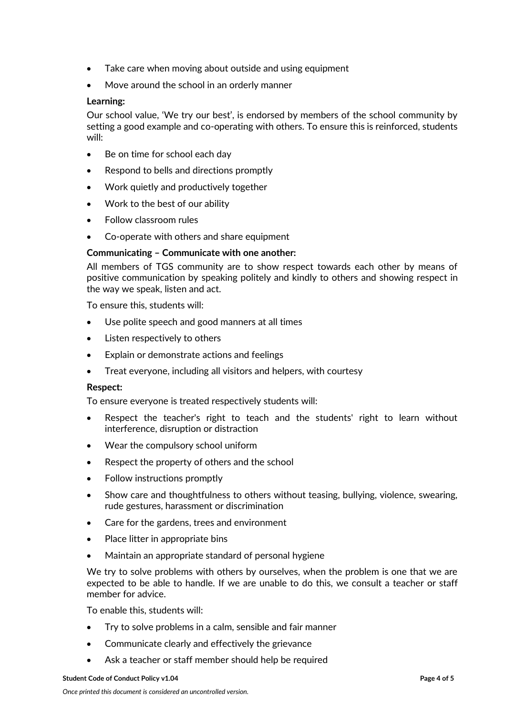- Take care when moving about outside and using equipment
- Move around the school in an orderly manner

## **Learning:**

Our school value, 'We try our best', is endorsed by members of the school community by setting a good example and co-operating with others. To ensure this is reinforced, students will:

- Be on time for school each day
- Respond to bells and directions promptly
- Work quietly and productively together
- Work to the best of our ability
- Follow classroom rules
- Co-operate with others and share equipment

## **Communicating – Communicate with one another:**

All members of TGS community are to show respect towards each other by means of positive communication by speaking politely and kindly to others and showing respect in the way we speak, listen and act.

To ensure this, students will:

- Use polite speech and good manners at all times
- Listen respectively to others
- Explain or demonstrate actions and feelings
- Treat everyone, including all visitors and helpers, with courtesy

## **Respect:**

To ensure everyone is treated respectively students will:

- Respect the teacher's right to teach and the students' right to learn without interference, disruption or distraction
- Wear the compulsory school uniform
- Respect the property of others and the school
- Follow instructions promptly
- Show care and thoughtfulness to others without teasing, bullying, violence, swearing, rude gestures, harassment or discrimination
- Care for the gardens, trees and environment
- Place litter in appropriate bins
- Maintain an appropriate standard of personal hygiene

We try to solve problems with others by ourselves, when the problem is one that we are expected to be able to handle. If we are unable to do this, we consult a teacher or staff member for advice.

To enable this, students will:

- Try to solve problems in a calm, sensible and fair manner
- Communicate clearly and effectively the grievance
- Ask a teacher or staff member should help be required